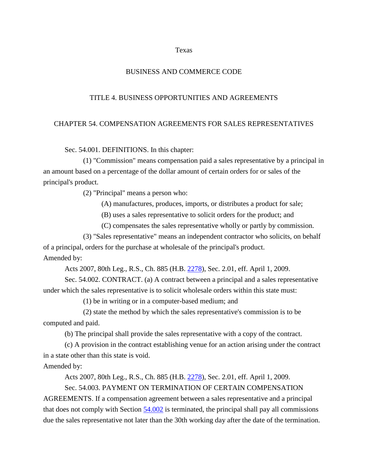Texas

## BUSINESS AND COMMERCE CODE

## TITLE 4. BUSINESS OPPORTUNITIES AND AGREEMENTS

## CHAPTER 54. COMPENSATION AGREEMENTS FOR SALES REPRESENTATIVES

Sec. 54.001. DEFINITIONS. In this chapter:

(1) "Commission" means compensation paid a sales representative by a principal in an amount based on a percentage of the dollar amount of certain orders for or sales of the principal's product.

(2) "Principal" means a person who:

(A) manufactures, produces, imports, or distributes a product for sale;

(B) uses a sales representative to solicit orders for the product; and

(C) compensates the sales representative wholly or partly by commission.

(3) "Sales representative" means an independent contractor who solicits, on behalf of a principal, orders for the purchase at wholesale of the principal's product. Amended by:

Acts 2007, 80th Leg., R.S., Ch. 885 (H.B. 2278), Sec. 2.01, eff. April 1, 2009.

Sec. 54.002. CONTRACT. (a) A contract between a principal and a sales representative under which the sales representative is to solicit wholesale orders within this state must:

(1) be in writing or in a computer-based medium; and

(2) state the method by which the sales representative's commission is to be computed and paid.

(b) The principal shall provide the sales representative with a copy of the contract.

(c) A provision in the contract establishing venue for an action arising under the contract in a state other than this state is void.

Amended by:

Acts 2007, 80th Leg., R.S., Ch. 885 (H.B. 2278), Sec. 2.01, eff. April 1, 2009.

Sec. 54.003. PAYMENT ON TERMINATION OF CERTAIN COMPENSATION

AGREEMENTS. If a compensation agreement between a sales representative and a principal that does not comply with Section 54.002 is terminated, the principal shall pay all commissions due the sales representative not later than the 30th working day after the date of the termination.